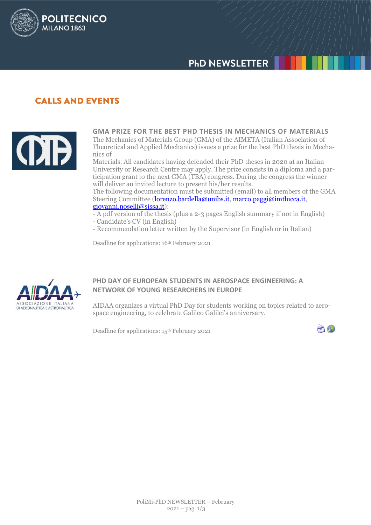# **PhD NEWSLETTER**

# **CALLS AND EVENTS**

**POLITECNICO** 

MILANO<sub>1863</sub>



**GMA PRIZE FOR THE BEST PHD THESIS IN MECHANICS OF MATERIALS** The Mechanics of Materials Group (GMA) of the AIMETA (Italian Association of Theoretical and Applied Mechanics) issues a prize for the best PhD thesis in Mechanics of

Materials. All candidates having defended their PhD theses in 2020 at an Italian University or Research Centre may apply. The prize consists in a diploma and a participation grant to the next GMA (TBA) congress. During the congress the winner will deliver an invited lecture to present his/her results.

The following documentation must be submitted (email) to all members of the GMA Steering Committee [\(lorenzo.bardella@unibs.it,](mailto:lorenzo.bardella@unibs.it) [marco.paggi@imtlucca.it,](mailto:marco.paggi@imtlucca.it) [giovanni.noselli@sissa.it\)](mailto:giovanni.noselli@sissa.it):

- A pdf version of the thesis (plus a 2-3 pages English summary if not in English)
- Candidate's CV (in English)
- Recommendation letter written by the Supervisor (in English or in Italian)

Deadline for applications: 16th February 2021



## **PHD DAY OF EUROPEAN STUDENTS IN AEROSPACE ENGINEERING: A NETWORK OF YOUNG RESEARCHERS IN EUROPE**

AIDAA organizes a virtual PhD Day for students working on topics related to aerospace engineering, to celebrate Galileo Galilei's anniversary.

Deadline for applications: 15th February 2021

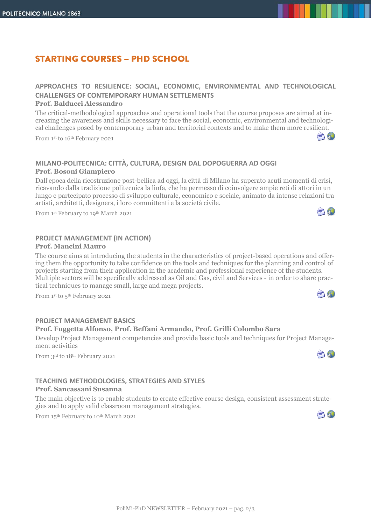# **STARTING COURSES - PHD SCHOOL**

## **APPROACHES TO RESILIENCE: SOCIAL, ECONOMIC, ENVIRONMENTAL AND TECHNOLOGICAL CHALLENGES OF CONTEMPORARY HUMAN SETTLEMENTS**

#### **Prof. Balducci Alessandro**

The critical-methodological approaches and operational tools that the course proposes are aimed at increasing the awareness and skills necessary to face the social, economic, environmental and technological challenges posed by contemporary urban and territorial contexts and to make them more resilient.

From 1st to 16th February 2021

## **MILANO-POLITECNICA: CITTÀ, CULTURA, DESIGN DAL DOPOGUERRA AD OGGI Prof. Bosoni Giampiero**

Dall'epoca della ricostruzione post-bellica ad oggi, la città di Milano ha superato acuti momenti di crisi, ricavando dalla tradizione politecnica la linfa, che ha permesso di coinvolgere ampie reti di attori in un lungo e partecipato processo di sviluppo culturale, economico e sociale, animato da intense relazioni tra artisti, architetti, designers, i loro committenti e la società civile.

From 1 st February to 19th March 2021

## **PROJECT MANAGEMENT (IN ACTION)**

#### **Prof. Mancini Mauro**

The course aims at introducing the students in the characteristics of project-based operations and offering them the opportunity to take confidence on the tools and techniques for the planning and control of projects starting from their application in the academic and professional experience of the students. Multiple sectors will be specifically addressed as Oil and Gas, civil and Services - in order to share practical techniques to manage small, large and mega projects.

From 1 st to 5 th February 2021

#### **PROJECT MANAGEMENT BASICS**

#### **Prof. Fuggetta Alfonso, Prof. Beffani Armando, Prof. Grilli Colombo Sara**

Develop Project Management competencies and provide basic tools and techniques for Project Management activities

From 3rd to 18th February 2021

## **TEACHING METHODOLOGIES, STRATEGIES AND STYLES**

#### **Prof. Sancassani Susanna**

The main objective is to enable students to create effective course design, consistent assessment strategies and to apply valid classroom management strategies.

From 15 th February to 10th March 2021







 $\bigcap_{i=1}^n$ 



 $\bigcap_{i=1}^n$